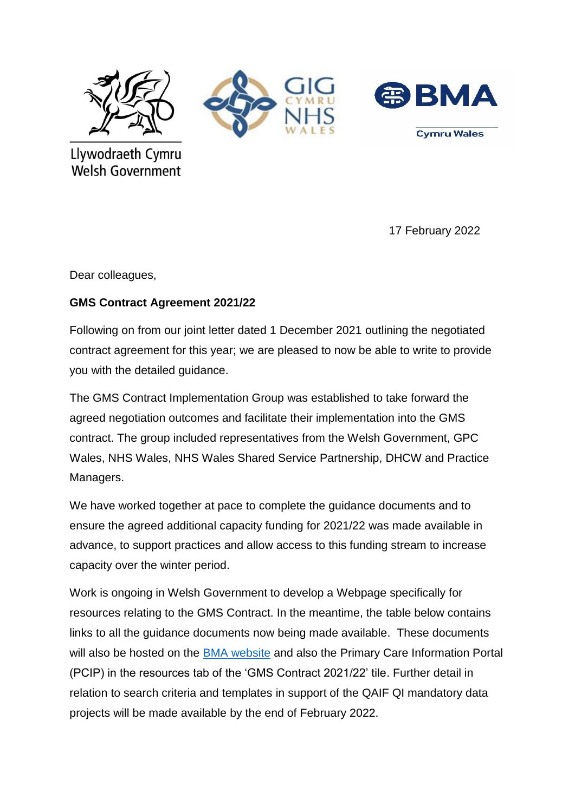





Llywodraeth Cymru **Welsh Government** 

17 February 2022

Dear colleagues,

## **GMS Contract Agreement 2021/22**

Following on from our joint letter dated 1 December 2021 outlining the negotiated contract agreement for this year; we are pleased to now be able to write to provide you with the detailed guidance.

The GMS Contract Implementation Group was established to take forward the agreed negotiation outcomes and facilitate their implementation into the GMS contract. The group included representatives from the Welsh Government, GPC Wales, NHS Wales, NHS Wales Shared Service Partnership, DHCW and Practice Managers.

We have worked together at pace to complete the guidance documents and to ensure the agreed additional capacity funding for 2021/22 was made available in advance, to support practices and allow access to this funding stream to increase capacity over the winter period.

Work is ongoing in Welsh Government to develop a Webpage specifically for resources relating to the GMS Contract. In the meantime, the table below contains links to all the guidance documents now being made available. These documents will also be hosted on the **BMA** website and also the Primary Care Information Portal (PCIP) in the resources tab of the 'GMS Contract 2021/22' tile. Further detail in relation to search criteria and templates in support of the QAIF QI mandatory data projects will be made available by the end of February 2022.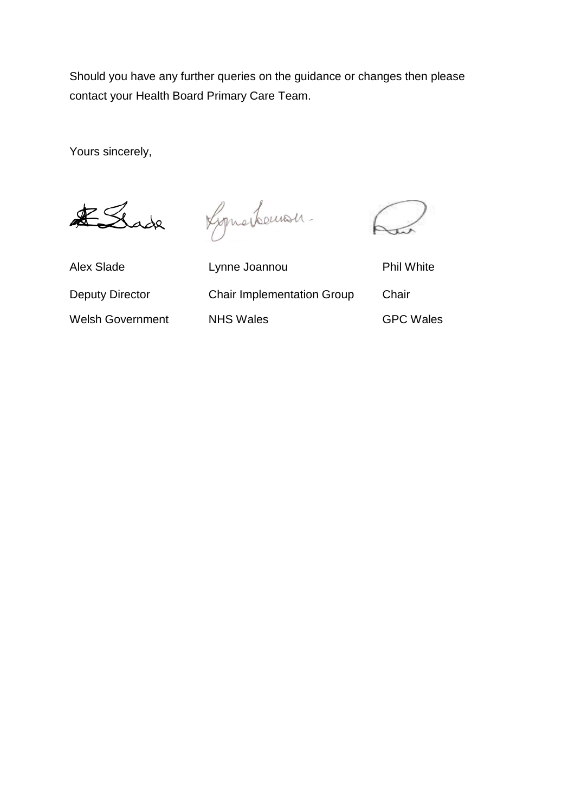Should you have any further queries on the guidance or changes then please contact your Health Board Primary Care Team.

Yours sincerely,

ESSade

Lymerternan-

Alex Slade **Lynne Joannou** Phil White Deputy Director Chair Implementation Group Chair Welsh Government NHS Wales CONSUMERTY GPC Wales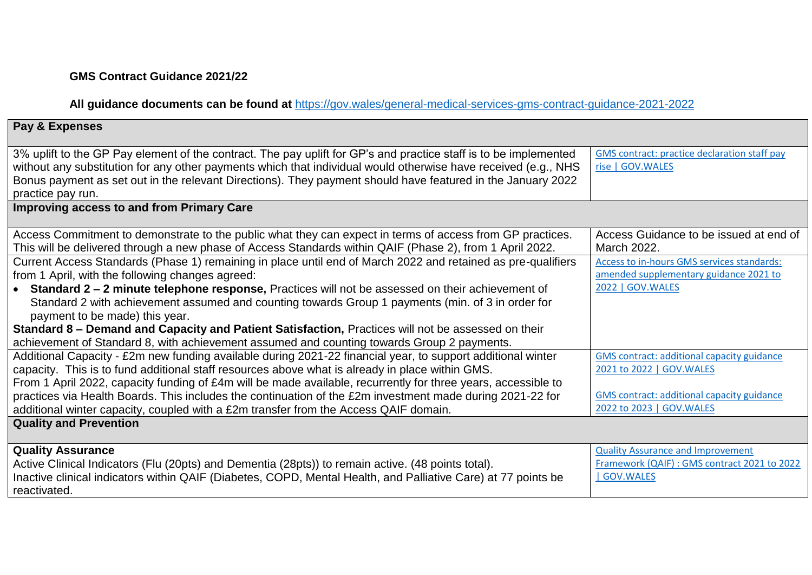## **GMS Contract Guidance 2021/22**

**All guidance documents can be found at** [https://gov.wales/general-medical-services-gms-contract-guidance-2021-2022](https://eur01.safelinks.protection.outlook.com/?url=https%3A%2F%2Fgov.wales%2Fgeneral-medical-services-gms-contract-guidance-2021-2022&data=04%7C01%7CJodi.Sullivan%40gov.wales%7Cf83d122ad52c45171c2508d9f159b1d9%7Ca2cc36c592804ae78887d06dab89216b%7C0%7C0%7C637806189794935134%7CUnknown%7CTWFpbGZsb3d8eyJWIjoiMC4wLjAwMDAiLCJQIjoiV2luMzIiLCJBTiI6Ik1haWwiLCJXVCI6Mn0%3D%7C3000&sdata=IXltJcbV452bC17KoCxnquLlG387qomwH57n3VxI5dE%3D&reserved=0)

## **Pay & Expenses** 3% uplift to the GP Pay element of the contract. The pay uplift for GP's and practice staff is to be implemented without any substitution for any other payments which that individual would otherwise have received (e.g., NHS Bonus payment as set out in the relevant Directions). They payment should have featured in the January 2022 practice pay run. [GMS contract: practice declaration staff pay](https://gov.wales/gms-contract-practice-declaration-staff-pay-rise)  [rise | GOV.WALES](https://gov.wales/gms-contract-practice-declaration-staff-pay-rise) **Improving access to and from Primary Care** Access Commitment to demonstrate to the public what they can expect in terms of access from GP practices. This will be delivered through a new phase of Access Standards within QAIF (Phase 2), from 1 April 2022. Access Guidance to be issued at end of March 2022. Current Access Standards (Phase 1) remaining in place until end of March 2022 and retained as pre-qualifiers from 1 April, with the following changes agreed: **Standard 2 – 2 minute telephone response,** Practices will not be assessed on their achievement of Standard 2 with achievement assumed and counting towards Group 1 payments (min. of 3 in order for payment to be made) this year. **Standard 8 – Demand and Capacity and Patient Satisfaction,** Practices will not be assessed on their achievement of Standard 8, with achievement assumed and counting towards Group 2 payments. [Access to in-hours GMS services standards:](https://gov.wales/access-hours-gms-services-standards-amended-supplementary-guidance-2021-2022)  [amended supplementary guidance 2021 to](https://gov.wales/access-hours-gms-services-standards-amended-supplementary-guidance-2021-2022)  [2022 | GOV.WALES](https://gov.wales/access-hours-gms-services-standards-amended-supplementary-guidance-2021-2022) Additional Capacity - £2m new funding available during 2021-22 financial year, to support additional winter capacity. This is to fund additional staff resources above what is already in place within GMS. From 1 April 2022, capacity funding of £4m will be made available, recurrently for three years, accessible to practices via Health Boards. This includes the continuation of the £2m investment made during 2021-22 for additional winter capacity, coupled with a £2m transfer from the Access QAIF domain. [GMS contract: additional capacity guidance](https://gov.wales/gms-contract-additional-capacity-guidance-2021-2022)  [2021 to 2022 | GOV.WALES](https://gov.wales/gms-contract-additional-capacity-guidance-2021-2022) [GMS contract: additional capacity guidance](https://gov.wales/gms-contract-additional-capacity-guidance-2022-2023)  [2022 to 2023 | GOV.WALES](https://gov.wales/gms-contract-additional-capacity-guidance-2022-2023) **Quality and Prevention Quality Assurance**  Active Clinical Indicators (Flu (20pts) and Dementia (28pts)) to remain active. (48 points total). Inactive clinical indicators within QAIF (Diabetes, COPD, Mental Health, and Palliative Care) at 77 points be reactivated. [Quality Assurance and Improvement](https://gov.wales/quality-assurance-and-improvement-framework-qaif-gms-contract-2021-2022)  [Framework \(QAIF\) : GMS contract 2021 to 2022](https://gov.wales/quality-assurance-and-improvement-framework-qaif-gms-contract-2021-2022)  [| GOV.WALES](https://gov.wales/quality-assurance-and-improvement-framework-qaif-gms-contract-2021-2022)